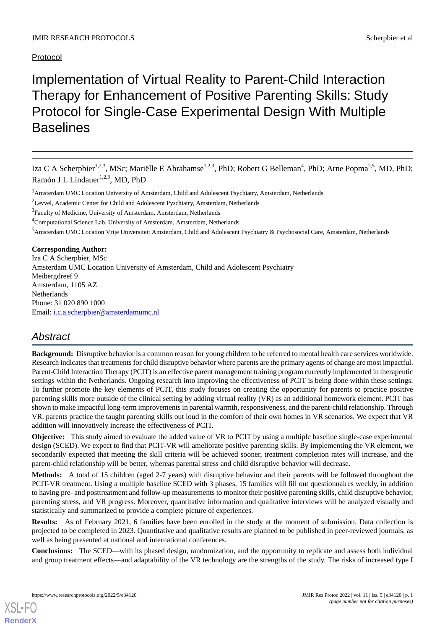# Implementation of Virtual Reality to Parent-Child Interaction Therapy for Enhancement of Positive Parenting Skills: Study Protocol for Single-Case Experimental Design With Multiple **Baselines**

Iza C A Scherpbier<sup>1,2,3</sup>, MSc; Mariëlle E Abrahamse<sup>1,2,3</sup>, PhD; Robert G Belleman<sup>4</sup>, PhD; Arne Popma<sup>2,5</sup>, MD, PhD; Ramón J L Lindauer<sup>1,2,3</sup>, MD, PhD

<sup>3</sup>Faculty of Medicine, University of Amsterdam, Amsterdam, Netherlands

<sup>4</sup>Computational Science Lab, University of Amsterdam, Amsterdam, Netherlands

<sup>5</sup>Amsterdam UMC Location Vrije Universiteit Amsterdam, Child and Adolescent Psychiatry & Psychosocial Care, Amsterdam, Netherlands

**Corresponding Author:**

Iza C A Scherpbier, MSc Amsterdam UMC Location University of Amsterdam, Child and Adolescent Psychiatry Meibergdreef 9 Amsterdam, 1105 AZ **Netherlands** Phone: 31 020 890 1000 Email: [i.c.a.scherpbier@amsterdamumc.nl](mailto:i.c.a.scherpbier@amsterdamumc.nl)

# *Abstract*

**Background:** Disruptive behavior is a common reason for young children to be referred to mental health care services worldwide. Research indicates that treatments for child disruptive behavior where parents are the primary agents of change are most impactful. Parent-Child Interaction Therapy (PCIT) is an effective parent management training program currently implemented in therapeutic settings within the Netherlands. Ongoing research into improving the effectiveness of PCIT is being done within these settings. To further promote the key elements of PCIT, this study focuses on creating the opportunity for parents to practice positive parenting skills more outside of the clinical setting by adding virtual reality (VR) as an additional homework element. PCIT has shown to make impactful long-term improvements in parental warmth, responsiveness, and the parent-child relationship. Through VR, parents practice the taught parenting skills out loud in the comfort of their own homes in VR scenarios. We expect that VR addition will innovatively increase the effectiveness of PCIT.

**Objective:** This study aimed to evaluate the added value of VR to PCIT by using a multiple baseline single-case experimental design (SCED). We expect to find that PCIT-VR will ameliorate positive parenting skills. By implementing the VR element, we secondarily expected that meeting the skill criteria will be achieved sooner, treatment completion rates will increase, and the parent-child relationship will be better, whereas parental stress and child disruptive behavior will decrease.

**Methods:** A total of 15 children (aged 2-7 years) with disruptive behavior and their parents will be followed throughout the PCIT-VR treatment. Using a multiple baseline SCED with 3 phases, 15 families will fill out questionnaires weekly, in addition to having pre- and posttreatment and follow-up measurements to monitor their positive parenting skills, child disruptive behavior, parenting stress, and VR progress. Moreover, quantitative information and qualitative interviews will be analyzed visually and statistically and summarized to provide a complete picture of experiences.

**Results:** As of February 2021, 6 families have been enrolled in the study at the moment of submission. Data collection is projected to be completed in 2023. Quantitative and qualitative results are planned to be published in peer-reviewed journals, as well as being presented at national and international conferences.

**Conclusions:** The SCED—with its phased design, randomization, and the opportunity to replicate and assess both individual and group treatment effects—and adaptability of the VR technology are the strengths of the study. The risks of increased type I

<sup>1</sup>Amsterdam UMC Location University of Amsterdam, Child and Adolescent Psychiatry, Amsterdam, Netherlands

<sup>&</sup>lt;sup>2</sup>Levvel, Academic Center for Child and Adolescent Pyschiatry, Amsterdam, Netherlands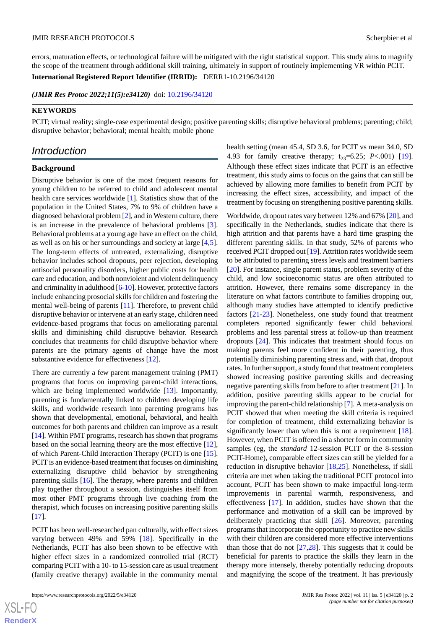errors, maturation effects, or technological failure will be mitigated with the right statistical support. This study aims to magnify the scope of the treatment through additional skill training, ultimately in support of routinely implementing VR within PCIT.

**International Registered Report Identifier (IRRID):** DERR1-10.2196/34120

(JMIR Res Protoc 2022;11(5):e34120) doi: [10.2196/34120](http://dx.doi.org/10.2196/34120)

#### **KEYWORDS**

PCIT; virtual reality; single-case experimental design; positive parenting skills; disruptive behavioral problems; parenting; child; disruptive behavior; behavioral; mental health; mobile phone

## *Introduction*

#### **Background**

Disruptive behavior is one of the most frequent reasons for young children to be referred to child and adolescent mental health care services worldwide [[1\]](#page-10-0). Statistics show that of the population in the United States, 7% to 9% of children have a diagnosed behavioral problem [[2\]](#page-10-1), and in Western culture, there is an increase in the prevalence of behavioral problems [[3\]](#page-10-2). Behavioral problems at a young age have an effect on the child, as well as on his or her surroundings and society at large [\[4](#page-10-3),[5\]](#page-10-4). The long-term effects of untreated, externalizing, disruptive behavior includes school dropouts, peer rejection, developing antisocial personality disorders, higher public costs for health care and education, and both nonviolent and violent delinquency and criminality in adulthood [\[6](#page-10-5)-[10](#page-11-0)]. However, protective factors include enhancing prosocial skills for children and fostering the mental well-being of parents [[11\]](#page-11-1). Therefore, to prevent child disruptive behavior or intervene at an early stage, children need evidence-based programs that focus on ameliorating parental skills and diminishing child disruptive behavior. Research concludes that treatments for child disruptive behavior where parents are the primary agents of change have the most substantive evidence for effectiveness [[12\]](#page-11-2).

There are currently a few parent management training (PMT) programs that focus on improving parent-child interactions, which are being implemented worldwide [\[13](#page-11-3)]. Importantly, parenting is fundamentally linked to children developing life skills, and worldwide research into parenting programs has shown that developmental, emotional, behavioral, and health outcomes for both parents and children can improve as a result [[14\]](#page-11-4). Within PMT programs, research has shown that programs based on the social learning theory are the most effective [[12\]](#page-11-2), of which Parent-Child Interaction Therapy (PCIT) is one [[15\]](#page-11-5). PCIT is an evidence-based treatment that focuses on diminishing externalizing disruptive child behavior by strengthening parenting skills [[16\]](#page-11-6). The therapy, where parents and children play together throughout a session, distinguishes itself from most other PMT programs through live coaching from the therapist, which focuses on increasing positive parenting skills [[17\]](#page-11-7).

PCIT has been well-researched pan culturally, with effect sizes varying between 49% and 59% [\[18](#page-11-8)]. Specifically in the Netherlands, PCIT has also been shown to be effective with higher effect sizes in a randomized controlled trial (RCT) comparing PCIT with a 10- to 15-session care as usual treatment (family creative therapy) available in the community mental

 $XS$  • FO **[RenderX](http://www.renderx.com/)** health setting (mean 45.4, SD 3.6, for PCIT vs mean 34.0, SD 4.93 for family creative therapy;  $t_{23}=6.25$ ; *P*<.001) [[19\]](#page-11-9). Although these effect sizes indicate that PCIT is an effective treatment, this study aims to focus on the gains that can still be achieved by allowing more families to benefit from PCIT by increasing the effect sizes, accessibility, and impact of the treatment by focusing on strengthening positive parenting skills.

Worldwide, dropout rates vary between 12% and 67% [[20\]](#page-11-10), and specifically in the Netherlands, studies indicate that there is high attrition and that parents have a hard time grasping the different parenting skills. In that study, 52% of parents who received PCIT dropped out [\[19](#page-11-9)]. Attrition rates worldwide seem to be attributed to parenting stress levels and treatment barriers [[20\]](#page-11-10). For instance, single parent status, problem severity of the child, and low socioeconomic status are often attributed to attrition. However, there remains some discrepancy in the literature on what factors contribute to families dropping out, although many studies have attempted to identify predictive factors [[21-](#page-11-11)[23](#page-11-12)]. Nonetheless, one study found that treatment completers reported significantly fewer child behavioral problems and less parental stress at follow-up than treatment dropouts [[24\]](#page-11-13). This indicates that treatment should focus on making parents feel more confident in their parenting, thus potentially diminishing parenting stress and, with that, dropout rates. In further support, a study found that treatment completers showed increasing positive parenting skills and decreasing negative parenting skills from before to after treatment [\[21](#page-11-11)]. In addition, positive parenting skills appear to be crucial for improving the parent-child relationship [[7\]](#page-10-6). A meta-analysis on PCIT showed that when meeting the skill criteria is required for completion of treatment, child externalizing behavior is significantly lower than when this is not a requirement [[18\]](#page-11-8). However, when PCIT is offered in a shorter form in community samples (eg, the *standard* 12-session PCIT or the 8-session PCIT-Home), comparable effect sizes can still be yielded for a reduction in disruptive behavior [[18](#page-11-8)[,25](#page-11-14)]. Nonetheless, if skill criteria are met when taking the traditional PCIT protocol into account, PCIT has been shown to make impactful long-term improvements in parental warmth, responsiveness, and effectiveness [[17\]](#page-11-7). In addition, studies have shown that the performance and motivation of a skill can be improved by deliberately practicing that skill [\[26](#page-11-15)]. Moreover, parenting programs that incorporate the opportunity to practice new skills with their children are considered more effective interventions than those that do not  $[27,28]$  $[27,28]$  $[27,28]$ . This suggests that it could be beneficial for parents to practice the skills they learn in the therapy more intensely, thereby potentially reducing dropouts and magnifying the scope of the treatment. It has previously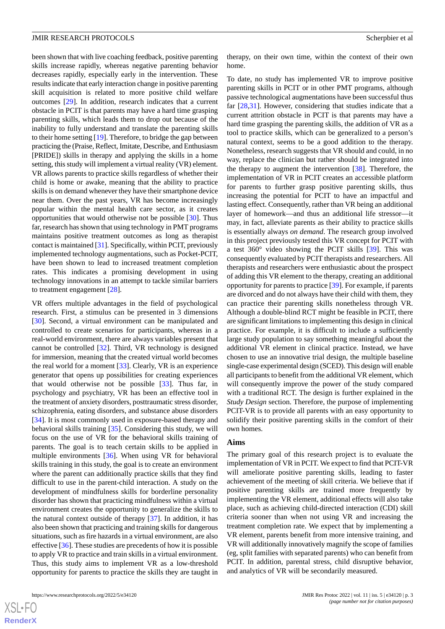been shown that with live coaching feedback, positive parenting skills increase rapidly, whereas negative parenting behavior decreases rapidly, especially early in the intervention. These results indicate that early interaction change in positive parenting skill acquisition is related to more positive child welfare outcomes [\[29](#page-11-18)]. In addition, research indicates that a current obstacle in PCIT is that parents may have a hard time grasping parenting skills, which leads them to drop out because of the inability to fully understand and translate the parenting skills to their home setting [[19\]](#page-11-9). Therefore, to bridge the gap between practicing the (Praise, Reflect, Imitate, Describe, and Enthusiasm [PRIDE]) skills in therapy and applying the skills in a home setting, this study will implement a virtual reality (VR) element. VR allows parents to practice skills regardless of whether their child is home or awake, meaning that the ability to practice skills is on demand whenever they have their smartphone device near them. Over the past years, VR has become increasingly popular within the mental health care sector, as it creates opportunities that would otherwise not be possible [[30\]](#page-11-19). Thus far, research has shown that using technology in PMT programs maintains positive treatment outcomes as long as therapist contact is maintained [\[31](#page-12-0)]. Specifically, within PCIT, previously implemented technology augmentations, such as Pocket-PCIT, have been shown to lead to increased treatment completion rates. This indicates a promising development in using technology innovations in an attempt to tackle similar barriers to treatment engagement [\[28](#page-11-17)].

VR offers multiple advantages in the field of psychological research. First, a stimulus can be presented in 3 dimensions [[30\]](#page-11-19). Second, a virtual environment can be manipulated and controlled to create scenarios for participants, whereas in a real-world environment, there are always variables present that cannot be controlled [\[32](#page-12-1)]. Third, VR technology is designed for immersion, meaning that the created virtual world becomes the real world for a moment [[33\]](#page-12-2). Clearly, VR is an experience generator that opens up possibilities for creating experiences that would otherwise not be possible [\[33](#page-12-2)]. Thus far, in psychology and psychiatry, VR has been an effective tool in the treatment of anxiety disorders, posttraumatic stress disorder, schizophrenia, eating disorders, and substance abuse disorders [[34\]](#page-12-3). It is most commonly used in exposure-based therapy and behavioral skills training [\[35](#page-12-4)]. Considering this study, we will focus on the use of VR for the behavioral skills training of parents. The goal is to teach certain skills to be applied in multiple environments [[36\]](#page-12-5). When using VR for behavioral skills training in this study, the goal is to create an environment where the parent can additionally practice skills that they find difficult to use in the parent-child interaction. A study on the development of mindfulness skills for borderline personality disorder has shown that practicing mindfulness within a virtual environment creates the opportunity to generalize the skills to the natural context outside of therapy [[37\]](#page-12-6). In addition, it has also been shown that practicing and training skills for dangerous situations, such as fire hazards in a virtual environment, are also effective [\[36](#page-12-5)]. These studies are precedents of how it is possible to apply VR to practice and train skills in a virtual environment. Thus, this study aims to implement VR as a low-threshold opportunity for parents to practice the skills they are taught in

 $XSJ \cdot F$ **[RenderX](http://www.renderx.com/)**

therapy, on their own time, within the context of their own home.

To date, no study has implemented VR to improve positive parenting skills in PCIT or in other PMT programs, although passive technological augmentations have been successful thus far [\[28](#page-11-17),[31\]](#page-12-0). However, considering that studies indicate that a current attrition obstacle in PCIT is that parents may have a hard time grasping the parenting skills, the addition of VR as a tool to practice skills, which can be generalized to a person's natural context, seems to be a good addition to the therapy. Nonetheless, research suggests that VR should and could, in no way, replace the clinician but rather should be integrated into the therapy to augment the intervention [\[38](#page-12-7)]. Therefore, the implementation of VR in PCIT creates an accessible platform for parents to further grasp positive parenting skills, thus increasing the potential for PCIT to have an impactful and lasting effect. Consequently, rather than VR being an additional layer of homework—and thus an additional life stressor—it may, in fact, alleviate parents as their ability to practice skills is essentially always *on demand*. The research group involved in this project previously tested this VR concept for PCIT with a test 360° video showing the PCIT skills [[39\]](#page-12-8). This was consequently evaluated by PCIT therapists and researchers. All therapists and researchers were enthusiastic about the prospect of adding this VR element to the therapy, creating an additional opportunity for parents to practice [[39\]](#page-12-8). For example, if parents are divorced and do not always have their child with them, they can practice their parenting skills nonetheless through VR. Although a double-blind RCT might be feasible in PCIT, there are significant limitations to implementing this design in clinical practice. For example, it is difficult to include a sufficiently large study population to say something meaningful about the additional VR element in clinical practice. Instead, we have chosen to use an innovative trial design, the multiple baseline single-case experimental design (SCED). This design will enable all participants to benefit from the additional VR element, which will consequently improve the power of the study compared with a traditional RCT. The design is further explained in the *Study Design* section. Therefore, the purpose of implementing PCIT-VR is to provide all parents with an easy opportunity to solidify their positive parenting skills in the comfort of their own homes.

#### **Aims**

The primary goal of this research project is to evaluate the implementation of VR in PCIT. We expect to find that PCIT-VR will ameliorate positive parenting skills, leading to faster achievement of the meeting of skill criteria. We believe that if positive parenting skills are trained more frequently by implementing the VR element, additional effects will also take place, such as achieving child-directed interaction (CDI) skill criteria sooner than when not using VR and increasing the treatment completion rate. We expect that by implementing a VR element, parents benefit from more intensive training, and VR will additionally innovatively magnify the scope of families (eg, split families with separated parents) who can benefit from PCIT. In addition, parental stress, child disruptive behavior, and analytics of VR will be secondarily measured.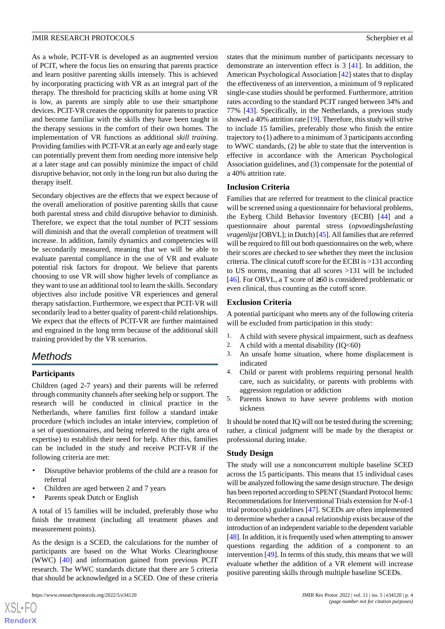As a whole, PCIT-VR is developed as an augmented version of PCIT, where the focus lies on ensuring that parents practice and learn positive parenting skills intensely. This is achieved by incorporating practicing with VR as an integral part of the therapy. The threshold for practicing skills at home using VR is low, as parents are simply able to use their smartphone devices. PCIT-VR creates the opportunity for parents to practice and become familiar with the skills they have been taught in the therapy sessions in the comfort of their own homes. The implementation of VR functions as additional *skill training*. Providing families with PCIT-VR at an early age and early stage can potentially prevent them from needing more intensive help at a later stage and can possibly minimize the impact of child disruptive behavior, not only in the long run but also during the therapy itself.

Secondary objectives are the effects that we expect because of the overall amelioration of positive parenting skills that cause both parental stress and child disruptive behavior to diminish. Therefore, we expect that the total number of PCIT sessions will diminish and that the overall completion of treatment will increase. In addition, family dynamics and competencies will be secondarily measured, meaning that we will be able to evaluate parental compliance in the use of VR and evaluate potential risk factors for dropout. We believe that parents choosing to use VR will show higher levels of compliance as they want to use an additional tool to learn the skills. Secondary objectives also include positive VR experiences and general therapy satisfaction. Furthermore, we expect that PCIT-VR will secondarily lead to a better quality of parent-child relationships. We expect that the effects of PCIT-VR are further maintained and engrained in the long term because of the additional skill training provided by the VR scenarios.

# *Methods*

#### **Participants**

Children (aged 2-7 years) and their parents will be referred through community channels after seeking help or support. The research will be conducted in clinical practice in the Netherlands, where families first follow a standard intake procedure (which includes an intake interview, completion of a set of questionnaires, and being referred to the right area of expertise) to establish their need for help. After this, families can be included in the study and receive PCIT-VR if the following criteria are met:

- Disruptive behavior problems of the child are a reason for referral
- Children are aged between 2 and 7 years
- Parents speak Dutch or English

A total of 15 families will be included, preferably those who finish the treatment (including all treatment phases and measurement points).

As the design is a SCED, the calculations for the number of participants are based on the What Works Clearinghouse (WWC) [\[40](#page-12-9)] and information gained from previous PCIT research. The WWC standards dictate that there are 5 criteria that should be acknowledged in a SCED. One of these criteria

 $XS$  $\cdot$ FC **[RenderX](http://www.renderx.com/)** states that the minimum number of participants necessary to demonstrate an intervention effect is 3 [[41\]](#page-12-10). In addition, the American Psychological Association [\[42](#page-12-11)] states that to display the effectiveness of an intervention, a minimum of 9 replicated single-case studies should be performed. Furthermore, attrition rates according to the standard PCIT ranged between 34% and 77% [\[43](#page-12-12)]. Specifically, in the Netherlands, a previous study showed a 40% attrition rate [\[19](#page-11-9)]. Therefore, this study will strive to include 15 families, preferably those who finish the entire trajectory to (1) adhere to a minimum of 3 participants according to WWC standards, (2) be able to state that the intervention is effective in accordance with the American Psychological Association guidelines, and (3) compensate for the potential of a 40% attrition rate.

#### **Inclusion Criteria**

Families that are referred for treatment to the clinical practice will be screened using a questionnaire for behavioral problems, the Eyberg Child Behavior Inventory (ECBI) [[44\]](#page-12-13) and a questionnaire about parental stress (*opvoedingsbelasting vragenlijst* [OBVL]; in Dutch) [[45](#page-12-14)]. All families that are referred will be required to fill out both questionnaires on the web, where their scores are checked to see whether they meet the inclusion criteria. The clinical cutoff score for the ECBI is >131 according to US norms, meaning that all scores >131 will be included [[46\]](#page-12-15). For OBVL, a T score of ≥60 is considered problematic or even clinical, thus counting as the cutoff score.

#### **Exclusion Criteria**

A potential participant who meets any of the following criteria will be excluded from participation in this study:

- 1. A child with severe physical impairment, such as deafness
- 2. A child with a mental disability  $(IQ<60)$
- 3. An unsafe home situation, where home displacement is indicated
- 4. Child or parent with problems requiring personal health care, such as suicidality, or parents with problems with aggression regulation or addiction
- 5. Parents known to have severe problems with motion sickness

It should be noted that IQ will not be tested during the screening; rather, a clinical judgment will be made by the therapist or professional during intake.

#### **Study Design**

The study will use a nonconcurrent multiple baseline SCED across the 15 participants. This means that 15 individual cases will be analyzed following the same design structure. The design has been reported according to SPENT (Standard Protocol Items: Recommendations for Interventional Trials extension for N-of-1 trial protocols) guidelines [\[47](#page-12-16)]. SCEDs are often implemented to determine whether a causal relationship exists because of the introduction of an independent variable to the dependent variable [[48\]](#page-12-17). In addition, it is frequently used when attempting to answer questions regarding the addition of a component to an intervention [\[49](#page-12-18)]. In terms of this study, this means that we will evaluate whether the addition of a VR element will increase positive parenting skills through multiple baseline SCEDs.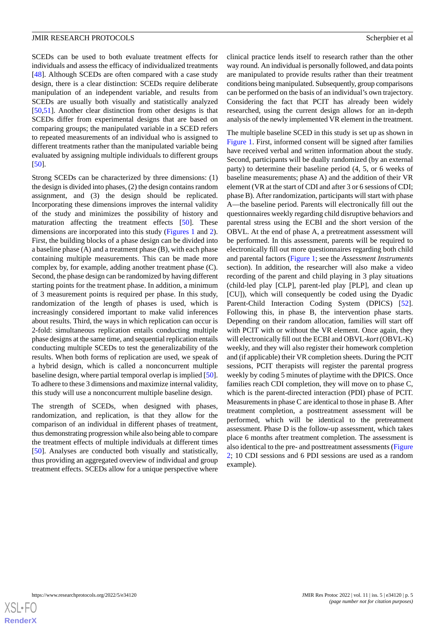SCEDs can be used to both evaluate treatment effects for individuals and assess the efficacy of individualized treatments [[48\]](#page-12-17). Although SCEDs are often compared with a case study design, there is a clear distinction: SCEDs require deliberate manipulation of an independent variable, and results from SCEDs are usually both visually and statistically analyzed [[50](#page-12-19)[,51](#page-12-20)]. Another clear distinction from other designs is that SCEDs differ from experimental designs that are based on comparing groups; the manipulated variable in a SCED refers to repeated measurements of an individual who is assigned to different treatments rather than the manipulated variable being evaluated by assigning multiple individuals to different groups [[50\]](#page-12-19).

Strong SCEDs can be characterized by three dimensions: (1) the design is divided into phases, (2) the design contains random assignment, and (3) the design should be replicated. Incorporating these dimensions improves the internal validity of the study and minimizes the possibility of history and maturation affecting the treatment effects [\[50](#page-12-19)]. These dimensions are incorporated into this study ([Figures 1](#page-5-0) and [2\)](#page-6-0). First, the building blocks of a phase design can be divided into a baseline phase (A) and a treatment phase (B), with each phase containing multiple measurements. This can be made more complex by, for example, adding another treatment phase (C). Second, the phase design can be randomized by having different starting points for the treatment phase. In addition, a minimum of 3 measurement points is required per phase. In this study, randomization of the length of phases is used, which is increasingly considered important to make valid inferences about results. Third, the ways in which replication can occur is 2-fold: simultaneous replication entails conducting multiple phase designs at the same time, and sequential replication entails conducting multiple SCEDs to test the generalizability of the results. When both forms of replication are used, we speak of a hybrid design, which is called a nonconcurrent multiple baseline design, where partial temporal overlap is implied [[50\]](#page-12-19). To adhere to these 3 dimensions and maximize internal validity, this study will use a nonconcurrent multiple baseline design.

The strength of SCEDs, when designed with phases, randomization, and replication, is that they allow for the comparison of an individual in different phases of treatment, thus demonstrating progression while also being able to compare the treatment effects of multiple individuals at different times [[50\]](#page-12-19). Analyses are conducted both visually and statistically, thus providing an aggregated overview of individual and group treatment effects. SCEDs allow for a unique perspective where clinical practice lends itself to research rather than the other way round. An individual is personally followed, and data points are manipulated to provide results rather than their treatment conditions being manipulated. Subsequently, group comparisons can be performed on the basis of an individual's own trajectory. Considering the fact that PCIT has already been widely researched, using the current design allows for an in-depth analysis of the newly implemented VR element in the treatment.

The multiple baseline SCED in this study is set up as shown in [Figure 1.](#page-5-0) First, informed consent will be signed after families have received verbal and written information about the study. Second, participants will be dually randomized (by an external party) to determine their baseline period (4, 5, or 6 weeks of baseline measurements; phase A) and the addition of their VR element (VR at the start of CDI and after 3 or 6 sessions of CDI; phase B). After randomization, participants will start with phase A—the baseline period. Parents will electronically fill out the questionnaires weekly regarding child disruptive behaviors and parental stress using the ECBI and the short version of the OBVL. At the end of phase A, a pretreatment assessment will be performed. In this assessment, parents will be required to electronically fill out more questionnaires regarding both child and parental factors [\(Figure 1](#page-5-0); see the *Assessment Instruments* section). In addition, the researcher will also make a video recording of the parent and child playing in 3 play situations (child-led play [CLP], parent-led play [PLP], and clean up [CU]), which will consequently be coded using the Dyadic Parent-Child Interaction Coding System (DPICS) [[52\]](#page-12-21). Following this, in phase B, the intervention phase starts. Depending on their random allocation, families will start off with PCIT with or without the VR element. Once again, they will electronically fill out the ECBI and OBVL-*kort* (OBVL-K) weekly, and they will also register their homework completion and (if applicable) their VR completion sheets. During the PCIT sessions, PCIT therapists will register the parental progress weekly by coding 5 minutes of playtime with the DPICS. Once families reach CDI completion, they will move on to phase C, which is the parent-directed interaction (PDI) phase of PCIT. Measurements in phase C are identical to those in phase B. After treatment completion, a posttreatment assessment will be performed, which will be identical to the pretreatment assessment. Phase D is the follow-up assessment, which takes place 6 months after treatment completion. The assessment is also identical to the pre- and posttreatment assessments ([Figure](#page-6-0) [2;](#page-6-0) 10 CDI sessions and 6 PDI sessions are used as a random example).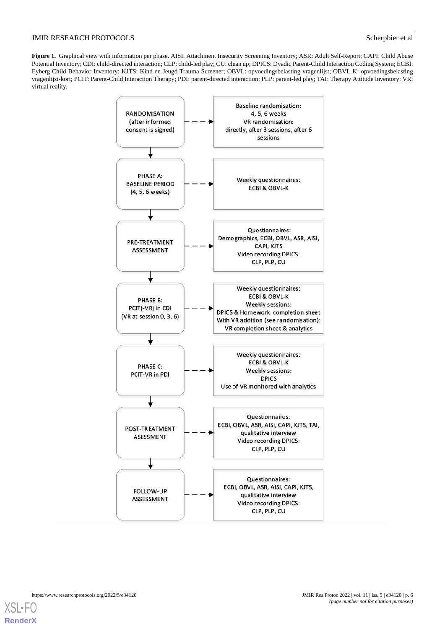<span id="page-5-0"></span>Figure 1. Graphical view with information per phase. AISI: Attachment Insecurity Screening Inventory; ASR: Adult Self-Report; CAPI: Child Abuse Potential Inventory; CDI: child-directed interaction; CLP: child-led play; CU: clean up; DPICS: Dyadic Parent-Child Interaction Coding System; ECBI: Eyberg Child Behavior Inventory; KJTS: Kind en Jeugd Trauma Screener; OBVL: opvoedingsbelasting vragenlijst; OBVL-K: opvoedingsbelasting vragenlijst-kort; PCIT: Parent-Child Interaction Therapy; PDI: parent-directed interaction; PLP: parent-led play; TAI: Therapy Attitude Inventory; VR: virtual reality.



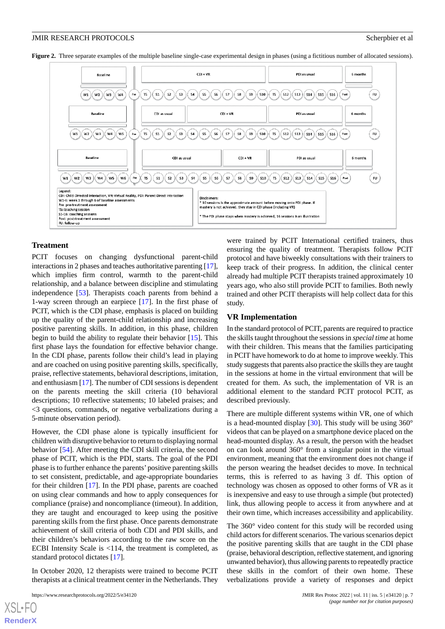<span id="page-6-0"></span>**Figure 2.** Three separate examples of the multiple baseline single-case experimental design in phases (using a fictitious number of allocated sessions).



#### **Treatment**

PCIT focuses on changing dysfunctional parent-child interactions in 2 phases and teaches authoritative parenting [\[17\]](#page-11-7), which implies firm control, warmth to the parent-child relationship, and a balance between discipline and stimulating independence [\[53](#page-12-22)]. Therapists coach parents from behind a 1-way screen through an earpiece [\[17](#page-11-7)]. In the first phase of PCIT, which is the CDI phase, emphasis is placed on building up the quality of the parent-child relationship and increasing positive parenting skills. In addition, in this phase, children begin to build the ability to regulate their behavior [[15\]](#page-11-5). This first phase lays the foundation for effective behavior change. In the CDI phase, parents follow their child's lead in playing and are coached on using positive parenting skills, specifically, praise, reflective statements, behavioral descriptions, imitation, and enthusiasm [\[17](#page-11-7)]. The number of CDI sessions is dependent on the parents meeting the skill criteria (10 behavioral descriptions; 10 reflective statements; 10 labeled praises; and <3 questions, commands, or negative verbalizations during a 5-minute observation period).

However, the CDI phase alone is typically insufficient for children with disruptive behavior to return to displaying normal behavior [\[54](#page-12-23)]. After meeting the CDI skill criteria, the second phase of PCIT, which is the PDI, starts. The goal of the PDI phase is to further enhance the parents' positive parenting skills to set consistent, predictable, and age-appropriate boundaries for their children [\[17](#page-11-7)]. In the PDI phase, parents are coached on using clear commands and how to apply consequences for compliance (praise) and noncompliance (timeout). In addition, they are taught and encouraged to keep using the positive parenting skills from the first phase. Once parents demonstrate achievement of skill criteria of both CDI and PDI skills, and their children's behaviors according to the raw score on the ECBI Intensity Scale is <114, the treatment is completed, as standard protocol dictates [\[17](#page-11-7)].

In October 2020, 12 therapists were trained to become PCIT therapists at a clinical treatment center in the Netherlands. They

 $X$ SL•F **[RenderX](http://www.renderx.com/)** were trained by PCIT International certified trainers, thus ensuring the quality of treatment. Therapists follow PCIT protocol and have biweekly consultations with their trainers to keep track of their progress. In addition, the clinical center already had multiple PCIT therapists trained approximately 10 years ago, who also still provide PCIT to families. Both newly trained and other PCIT therapists will help collect data for this study.

#### **VR Implementation**

In the standard protocol of PCIT, parents are required to practice the skills taught throughout the sessions in *special time* at home with their children. This means that the families participating in PCIT have homework to do at home to improve weekly. This study suggests that parents also practice the skills they are taught in the sessions at home in the virtual environment that will be created for them. As such, the implementation of VR is an additional element to the standard PCIT protocol PCIT, as described previously.

There are multiple different systems within VR, one of which is a head-mounted display  $[30]$  $[30]$ . This study will be using  $360^{\circ}$ videos that can be played on a smartphone device placed on the head-mounted display. As a result, the person with the headset on can look around 360° from a singular point in the virtual environment, meaning that the environment does not change if the person wearing the headset decides to move. In technical terms, this is referred to as having 3 df. This option of technology was chosen as opposed to other forms of VR as it is inexpensive and easy to use through a simple (but protected) link, thus allowing people to access it from anywhere and at their own time, which increases accessibility and applicability.

The 360° video content for this study will be recorded using child actors for different scenarios. The various scenarios depict the positive parenting skills that are taught in the CDI phase (praise, behavioral description, reflective statement, and ignoring unwanted behavior), thus allowing parents to repeatedly practice these skills in the comfort of their own home. These verbalizations provide a variety of responses and depict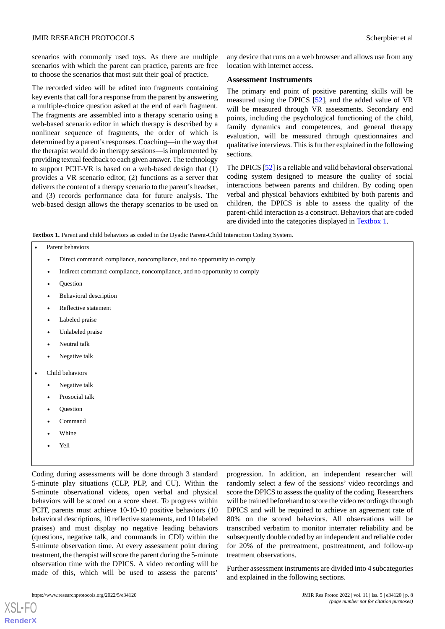scenarios with commonly used toys. As there are multiple scenarios with which the parent can practice, parents are free to choose the scenarios that most suit their goal of practice.

The recorded video will be edited into fragments containing key events that call for a response from the parent by answering a multiple-choice question asked at the end of each fragment. The fragments are assembled into a therapy scenario using a web-based scenario editor in which therapy is described by a nonlinear sequence of fragments, the order of which is determined by a parent's responses. Coaching—in the way that the therapist would do in therapy sessions—is implemented by providing textual feedback to each given answer. The technology to support PCIT-VR is based on a web-based design that (1) provides a VR scenario editor, (2) functions as a server that delivers the content of a therapy scenario to the parent's headset, and (3) records performance data for future analysis. The web-based design allows the therapy scenarios to be used on

any device that runs on a web browser and allows use from any location with internet access.

#### **Assessment Instruments**

The primary end point of positive parenting skills will be measured using the DPICS [[52\]](#page-12-21), and the added value of VR will be measured through VR assessments. Secondary end points, including the psychological functioning of the child, family dynamics and competences, and general therapy evaluation, will be measured through questionnaires and qualitative interviews. This is further explained in the following sections.

The DPICS [[52\]](#page-12-21) is a reliable and valid behavioral observational coding system designed to measure the quality of social interactions between parents and children. By coding open verbal and physical behaviors exhibited by both parents and children, the DPICS is able to assess the quality of the parent-child interaction as a construct. Behaviors that are coded are divided into the categories displayed in [Textbox 1](#page-7-0).

<span id="page-7-0"></span>**Textbox 1.** Parent and child behaviors as coded in the Dyadic Parent-Child Interaction Coding System.

| Parent behaviors |  |
|------------------|--|
|------------------|--|

- Direct command: compliance, noncompliance, and no opportunity to comply
- Indirect command: compliance, noncompliance, and no opportunity to comply
- Question
- Behavioral description
- Reflective statement
- Labeled praise
- Unlabeled praise
- Neutral talk
- Negative talk
- Child behaviors
	- Negative talk
	- Prosocial talk
	- **Ouestion**
	- Command
	- Whine
	- Yell

Coding during assessments will be done through 3 standard 5-minute play situations (CLP, PLP, and CU). Within the 5-minute observational videos, open verbal and physical behaviors will be scored on a score sheet. To progress within PCIT, parents must achieve 10-10-10 positive behaviors (10 behavioral descriptions, 10 reflective statements, and 10 labeled praises) and must display no negative leading behaviors (questions, negative talk, and commands in CDI) within the 5-minute observation time. At every assessment point during treatment, the therapist will score the parent during the 5-minute observation time with the DPICS. A video recording will be made of this, which will be used to assess the parents'

progression. In addition, an independent researcher will randomly select a few of the sessions' video recordings and score the DPICS to assess the quality of the coding. Researchers will be trained beforehand to score the video recordings through DPICS and will be required to achieve an agreement rate of 80% on the scored behaviors. All observations will be transcribed verbatim to monitor interrater reliability and be subsequently double coded by an independent and reliable coder for 20% of the pretreatment, posttreatment, and follow-up treatment observations.

Further assessment instruments are divided into 4 subcategories and explained in the following sections.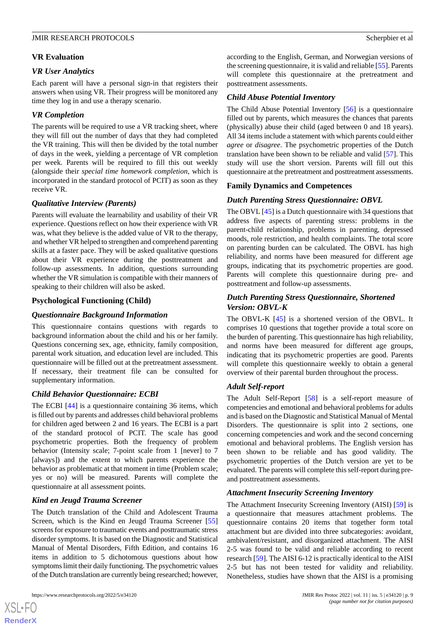#### **VR Evaluation**

#### *VR User Analytics*

Each parent will have a personal sign-in that registers their answers when using VR. Their progress will be monitored any time they log in and use a therapy scenario.

#### *VR Completion*

The parents will be required to use a VR tracking sheet, where they will fill out the number of days that they had completed the VR training. This will then be divided by the total number of days in the week, yielding a percentage of VR completion per week. Parents will be required to fill this out weekly (alongside their *special time homework completion*, which is incorporated in the standard protocol of PCIT) as soon as they receive VR.

#### *Qualitative Interview (Parents)*

Parents will evaluate the learnability and usability of their VR experience. Questions reflect on how their experience with VR was, what they believe is the added value of VR to the therapy, and whether VR helped to strengthen and comprehend parenting skills at a faster pace. They will be asked qualitative questions about their VR experience during the posttreatment and follow-up assessments. In addition, questions surrounding whether the VR simulation is compatible with their manners of speaking to their children will also be asked.

#### **Psychological Functioning (Child)**

#### *Questionnaire Background Information*

This questionnaire contains questions with regards to background information about the child and his or her family. Questions concerning sex, age, ethnicity, family composition, parental work situation, and education level are included. This questionnaire will be filled out at the pretreatment assessment. If necessary, their treatment file can be consulted for supplementary information.

#### *Child Behavior Questionnaire: ECBI*

The ECBI [\[44](#page-12-13)] is a questionnaire containing 36 items, which is filled out by parents and addresses child behavioral problems for children aged between 2 and 16 years. The ECBI is a part of the standard protocol of PCIT. The scale has good psychometric properties. Both the frequency of problem behavior (Intensity scale; 7-point scale from 1 [never] to 7 [always]) and the extent to which parents experience the behavior as problematic at that moment in time (Problem scale; yes or no) will be measured. Parents will complete the questionnaire at all assessment points.

#### *Kind en Jeugd Trauma Screener*

The Dutch translation of the Child and Adolescent Trauma Screen, which is the Kind en Jeugd Trauma Screener [\[55](#page-12-24)] screens for exposure to traumatic events and posttraumatic stress disorder symptoms. It is based on the Diagnostic and Statistical Manual of Mental Disorders, Fifth Edition, and contains 16 items in addition to 5 dichotomous questions about how symptoms limit their daily functioning. The psychometric values of the Dutch translation are currently being researched; however,

[XSL](http://www.w3.org/Style/XSL)•FO **[RenderX](http://www.renderx.com/)**

according to the English, German, and Norwegian versions of the screening questionnaire, it is valid and reliable [[55\]](#page-12-24). Parents will complete this questionnaire at the pretreatment and posttreatment assessments.

#### *Child Abuse Potential Inventory*

The Child Abuse Potential Inventory [\[56](#page-13-0)] is a questionnaire filled out by parents, which measures the chances that parents (physically) abuse their child (aged between 0 and 18 years). All 34 items include a statement with which parents could either *agree* or *disagree*. The psychometric properties of the Dutch translation have been shown to be reliable and valid [[57\]](#page-13-1). This study will use the short version. Parents will fill out this questionnaire at the pretreatment and posttreatment assessments.

#### **Family Dynamics and Competences**

#### *Dutch Parenting Stress Questionnaire: OBVL*

The OBVL [[45\]](#page-12-14) is a Dutch questionnaire with 34 questions that address five aspects of parenting stress: problems in the parent-child relationship, problems in parenting, depressed moods, role restriction, and health complaints. The total score on parenting burden can be calculated. The OBVL has high reliability, and norms have been measured for different age groups, indicating that its psychometric properties are good. Parents will complete this questionnaire during pre- and posttreatment and follow-up assessments.

#### *Dutch Parenting Stress Questionnaire, Shortened Version: OBVL-K*

The OBVL-K [[45\]](#page-12-14) is a shortened version of the OBVL. It comprises 10 questions that together provide a total score on the burden of parenting. This questionnaire has high reliability, and norms have been measured for different age groups, indicating that its psychometric properties are good. Parents will complete this questionnaire weekly to obtain a general overview of their parental burden throughout the process.

#### *Adult Self-report*

The Adult Self-Report [[58\]](#page-13-2) is a self-report measure of competencies and emotional and behavioral problems for adults and is based on the Diagnostic and Statistical Manual of Mental Disorders. The questionnaire is split into 2 sections, one concerning competencies and work and the second concerning emotional and behavioral problems. The English version has been shown to be reliable and has good validity. The psychometric properties of the Dutch version are yet to be evaluated. The parents will complete this self-report during preand posttreatment assessments.

#### *Attachment Insecurity Screening Inventory*

The Attachment Insecurity Screening Inventory (AISI) [\[59](#page-13-3)] is a questionnaire that measures attachment problems. The questionnaire contains 20 items that together form total attachment but are divided into three subcategories: avoidant, ambivalent/resistant, and disorganized attachment. The AISI 2-5 was found to be valid and reliable according to recent research [\[59](#page-13-3)]. The AISI 6-12 is practically identical to the AISI 2-5 but has not been tested for validity and reliability. Nonetheless, studies have shown that the AISI is a promising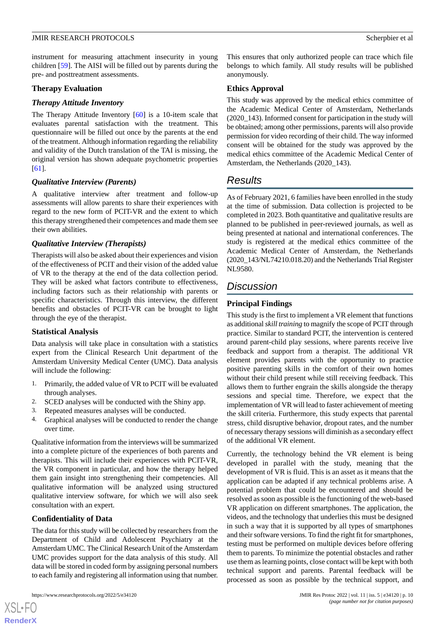instrument for measuring attachment insecurity in young children [\[59](#page-13-3)]. The AISI will be filled out by parents during the pre- and posttreatment assessments.

#### **Therapy Evaluation**

#### *Therapy Attitude Inventory*

The Therapy Attitude Inventory [\[60](#page-13-4)] is a 10-item scale that evaluates parental satisfaction with the treatment. This questionnaire will be filled out once by the parents at the end of the treatment. Although information regarding the reliability and validity of the Dutch translation of the TAI is missing, the original version has shown adequate psychometric properties [[61\]](#page-13-5).

#### *Qualitative Interview (Parents)*

A qualitative interview after treatment and follow-up assessments will allow parents to share their experiences with regard to the new form of PCIT-VR and the extent to which this therapy strengthened their competences and made them see their own abilities.

#### *Qualitative Interview (Therapists)*

Therapists will also be asked about their experiences and vision of the effectiveness of PCIT and their vision of the added value of VR to the therapy at the end of the data collection period. They will be asked what factors contribute to effectiveness, including factors such as their relationship with parents or specific characteristics. Through this interview, the different benefits and obstacles of PCIT-VR can be brought to light through the eye of the therapist.

#### **Statistical Analysis**

Data analysis will take place in consultation with a statistics expert from the Clinical Research Unit department of the Amsterdam University Medical Center (UMC). Data analysis will include the following:

- 1. Primarily, the added value of VR to PCIT will be evaluated through analyses.
- 2. SCED analyses will be conducted with the Shiny app.
- 3. Repeated measures analyses will be conducted.
- 4. Graphical analyses will be conducted to render the change over time.

Qualitative information from the interviews will be summarized into a complete picture of the experiences of both parents and therapists. This will include their experiences with PCIT-VR, the VR component in particular, and how the therapy helped them gain insight into strengthening their competencies. All qualitative information will be analyzed using structured qualitative interview software, for which we will also seek consultation with an expert.

#### **Confidentiality of Data**

The data for this study will be collected by researchers from the Department of Child and Adolescent Psychiatry at the Amsterdam UMC. The Clinical Research Unit of the Amsterdam UMC provides support for the data analysis of this study. All data will be stored in coded form by assigning personal numbers to each family and registering all information using that number.

This ensures that only authorized people can trace which file belongs to which family. All study results will be published anonymously.

#### **Ethics Approval**

This study was approved by the medical ethics committee of the Academic Medical Center of Amsterdam, Netherlands (2020\_143). Informed consent for participation in the study will be obtained; among other permissions, parents will also provide permission for video recording of their child. The way informed consent will be obtained for the study was approved by the medical ethics committee of the Academic Medical Center of Amsterdam, the Netherlands (2020–143).

# *Results*

As of February 2021, 6 families have been enrolled in the study at the time of submission. Data collection is projected to be completed in 2023. Both quantitative and qualitative results are planned to be published in peer-reviewed journals, as well as being presented at national and international conferences. The study is registered at the medical ethics committee of the Academic Medical Center of Amsterdam, the Netherlands  $(2020\quad143/NL74210.018.20)$  and the Netherlands Trial Register NL9580.

# *Discussion*

### **Principal Findings**

This study is the first to implement a VR element that functions as additional *skill training* to magnify the scope of PCIT through practice. Similar to standard PCIT, the intervention is centered around parent-child play sessions, where parents receive live feedback and support from a therapist. The additional VR element provides parents with the opportunity to practice positive parenting skills in the comfort of their own homes without their child present while still receiving feedback. This allows them to further engrain the skills alongside the therapy sessions and special time. Therefore, we expect that the implementation of VR will lead to faster achievement of meeting the skill criteria. Furthermore, this study expects that parental stress, child disruptive behavior, dropout rates, and the number of necessary therapy sessions will diminish as a secondary effect of the additional VR element.

Currently, the technology behind the VR element is being developed in parallel with the study, meaning that the development of VR is fluid. This is an asset as it means that the application can be adapted if any technical problems arise. A potential problem that could be encountered and should be resolved as soon as possible is the functioning of the web-based VR application on different smartphones. The application, the videos, and the technology that underlies this must be designed in such a way that it is supported by all types of smartphones and their software versions. To find the right fit for smartphones, testing must be performed on multiple devices before offering them to parents. To minimize the potential obstacles and rather use them as learning points, close contact will be kept with both technical support and parents. Parental feedback will be processed as soon as possible by the technical support, and

 $XS$  $\cdot$ FC **[RenderX](http://www.renderx.com/)**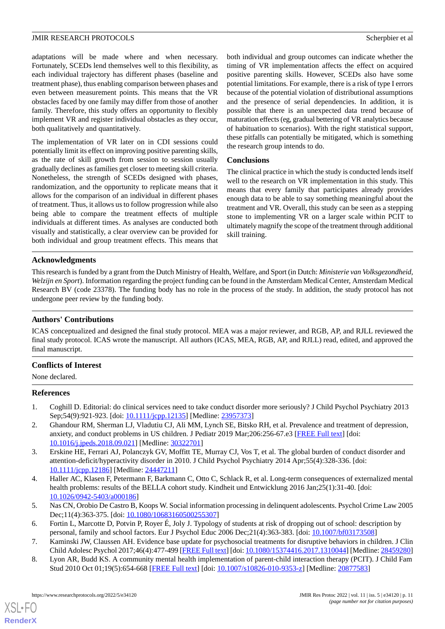adaptations will be made where and when necessary. Fortunately, SCEDs lend themselves well to this flexibility, as each individual trajectory has different phases (baseline and treatment phase), thus enabling comparison between phases and even between measurement points. This means that the VR obstacles faced by one family may differ from those of another family. Therefore, this study offers an opportunity to flexibly implement VR and register individual obstacles as they occur, both qualitatively and quantitatively.

The implementation of VR later on in CDI sessions could potentially limit its effect on improving positive parenting skills, as the rate of skill growth from session to session usually gradually declines as families get closer to meeting skill criteria. Nonetheless, the strength of SCEDs designed with phases, randomization, and the opportunity to replicate means that it allows for the comparison of an individual in different phases of treatment. Thus, it allows us to follow progression while also being able to compare the treatment effects of multiple individuals at different times. As analyses are conducted both visually and statistically, a clear overview can be provided for both individual and group treatment effects. This means that

both individual and group outcomes can indicate whether the timing of VR implementation affects the effect on acquired positive parenting skills. However, SCEDs also have some potential limitations. For example, there is a risk of type I errors because of the potential violation of distributional assumptions and the presence of serial dependencies. In addition, it is possible that there is an unexpected data trend because of maturation effects (eg, gradual bettering of VR analytics because of habituation to scenarios). With the right statistical support, these pitfalls can potentially be mitigated, which is something the research group intends to do.

#### **Conclusions**

The clinical practice in which the study is conducted lends itself well to the research on VR implementation in this study. This means that every family that participates already provides enough data to be able to say something meaningful about the treatment and VR. Overall, this study can be seen as a stepping stone to implementing VR on a larger scale within PCIT to ultimately magnify the scope of the treatment through additional skill training.

#### **Acknowledgments**

This research is funded by a grant from the Dutch Ministry of Health, Welfare, and Sport (in Dutch: *Ministerie van Volksgezondheid, Welzijn en Sport*). Information regarding the project funding can be found in the Amsterdam Medical Center, Amsterdam Medical Research BV (code 23378). The funding body has no role in the process of the study. In addition, the study protocol has not undergone peer review by the funding body.

#### **Authors' Contributions**

ICAS conceptualized and designed the final study protocol. MEA was a major reviewer, and RGB, AP, and RJLL reviewed the final study protocol. ICAS wrote the manuscript. All authors (ICAS, MEA, RGB, AP, and RJLL) read, edited, and approved the final manuscript.

#### <span id="page-10-0"></span>**Conflicts of Interest**

<span id="page-10-1"></span>None declared.

#### **References**

- <span id="page-10-2"></span>1. Coghill D. Editorial: do clinical services need to take conduct disorder more seriously? J Child Psychol Psychiatry 2013 Sep;54(9):921-923. [doi: [10.1111/jcpp.12135](http://dx.doi.org/10.1111/jcpp.12135)] [Medline: [23957373](http://www.ncbi.nlm.nih.gov/entrez/query.fcgi?cmd=Retrieve&db=PubMed&list_uids=23957373&dopt=Abstract)]
- <span id="page-10-3"></span>2. Ghandour RM, Sherman LJ, Vladutiu CJ, Ali MM, Lynch SE, Bitsko RH, et al. Prevalence and treatment of depression, anxiety, and conduct problems in US children. J Pediatr 2019 Mar; 206: 256-67.e3 [[FREE Full text\]](http://europepmc.org/abstract/MED/30322701) [doi: [10.1016/j.jpeds.2018.09.021\]](http://dx.doi.org/10.1016/j.jpeds.2018.09.021) [Medline: [30322701](http://www.ncbi.nlm.nih.gov/entrez/query.fcgi?cmd=Retrieve&db=PubMed&list_uids=30322701&dopt=Abstract)]
- <span id="page-10-4"></span>3. Erskine HE, Ferrari AJ, Polanczyk GV, Moffitt TE, Murray CJ, Vos T, et al. The global burden of conduct disorder and attention-deficit/hyperactivity disorder in 2010. J Child Psychol Psychiatry 2014 Apr;55(4):328-336. [doi: [10.1111/jcpp.12186](http://dx.doi.org/10.1111/jcpp.12186)] [Medline: [24447211](http://www.ncbi.nlm.nih.gov/entrez/query.fcgi?cmd=Retrieve&db=PubMed&list_uids=24447211&dopt=Abstract)]
- <span id="page-10-6"></span><span id="page-10-5"></span>4. Haller AC, Klasen F, Petermann F, Barkmann C, Otto C, Schlack R, et al. Long-term consequences of externalized mental health problems: results of the BELLA cohort study. Kindheit und Entwicklung 2016 Jan;25(1):31-40. [doi: [10.1026/0942-5403/a000186](http://dx.doi.org/10.1026/0942-5403/a000186)]
- 5. Nas CN, Orobio De Castro B, Koops W. Social information processing in delinquent adolescents. Psychol Crime Law 2005 Dec;11(4):363-375. [doi: [10.1080/10683160500255307\]](http://dx.doi.org/10.1080/10683160500255307)
- 6. Fortin L, Marcotte D, Potvin P, Royer É, Joly J. Typology of students at risk of dropping out of school: description by personal, family and school factors. Eur J Psychol Educ 2006 Dec;21(4):363-383. [doi: [10.1007/bf03173508](http://dx.doi.org/10.1007/bf03173508)]
- 7. Kaminski JW, Claussen AH. Evidence base update for psychosocial treatments for disruptive behaviors in children. J Clin Child Adolesc Psychol 2017;46(4):477-499 [[FREE Full text\]](http://europepmc.org/abstract/MED/28459280) [doi: [10.1080/15374416.2017.1310044](http://dx.doi.org/10.1080/15374416.2017.1310044)] [Medline: [28459280\]](http://www.ncbi.nlm.nih.gov/entrez/query.fcgi?cmd=Retrieve&db=PubMed&list_uids=28459280&dopt=Abstract)
- 8. Lyon AR, Budd KS. A community mental health implementation of parent-child interaction therapy (PCIT). J Child Fam Stud 2010 Oct 01;19(5):654-668 [\[FREE Full text\]](http://europepmc.org/abstract/MED/20877583) [doi: [10.1007/s10826-010-9353-z](http://dx.doi.org/10.1007/s10826-010-9353-z)] [Medline: [20877583](http://www.ncbi.nlm.nih.gov/entrez/query.fcgi?cmd=Retrieve&db=PubMed&list_uids=20877583&dopt=Abstract)]

 $XS$  • FO **[RenderX](http://www.renderx.com/)**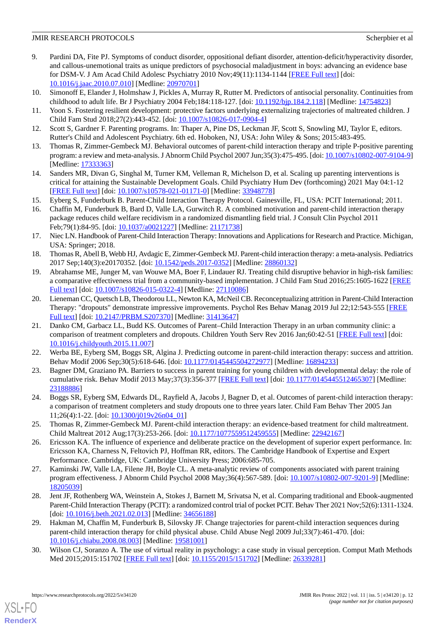- 9. Pardini DA, Fite PJ. Symptoms of conduct disorder, oppositional defiant disorder, attention-deficit/hyperactivity disorder, and callous-unemotional traits as unique predictors of psychosocial maladjustment in boys: advancing an evidence base for DSM-V. J Am Acad Child Adolesc Psychiatry 2010 Nov;49(11):1134-1144 [[FREE Full text](http://europepmc.org/abstract/MED/20970701)] [doi: [10.1016/j.jaac.2010.07.010\]](http://dx.doi.org/10.1016/j.jaac.2010.07.010) [Medline: [20970701\]](http://www.ncbi.nlm.nih.gov/entrez/query.fcgi?cmd=Retrieve&db=PubMed&list_uids=20970701&dopt=Abstract)
- <span id="page-11-1"></span><span id="page-11-0"></span>10. Simonoff E, Elander J, Holmshaw J, Pickles A, Murray R, Rutter M. Predictors of antisocial personality. Continuities from childhood to adult life. Br J Psychiatry 2004 Feb;184:118-127. [doi: [10.1192/bjp.184.2.118](http://dx.doi.org/10.1192/bjp.184.2.118)] [Medline: [14754823\]](http://www.ncbi.nlm.nih.gov/entrez/query.fcgi?cmd=Retrieve&db=PubMed&list_uids=14754823&dopt=Abstract)
- <span id="page-11-2"></span>11. Yoon S. Fostering resilient development: protective factors underlying externalizing trajectories of maltreated children. J Child Fam Stud 2018;27(2):443-452. [doi: [10.1007/s10826-017-0904-4](http://dx.doi.org/10.1007/s10826-017-0904-4)]
- <span id="page-11-3"></span>12. Scott S, Gardner F. Parenting programs. In: Thaper A, Pine DS, Leckman JF, Scott S, Snowling MJ, Taylor E, editors. Rutter's Child and Adolescent Psychiatry. 6th ed. Hoboken, NJ, USA: John Wiley & Sons; 2015:483-495.
- <span id="page-11-4"></span>13. Thomas R, Zimmer-Gembeck MJ. Behavioral outcomes of parent-child interaction therapy and triple P-positive parenting program: a review and meta-analysis. J Abnorm Child Psychol 2007 Jun;35(3):475-495. [doi: [10.1007/s10802-007-9104-9](http://dx.doi.org/10.1007/s10802-007-9104-9)] [Medline: [17333363](http://www.ncbi.nlm.nih.gov/entrez/query.fcgi?cmd=Retrieve&db=PubMed&list_uids=17333363&dopt=Abstract)]
- <span id="page-11-5"></span>14. Sanders MR, Divan G, Singhal M, Turner KM, Velleman R, Michelson D, et al. Scaling up parenting interventions is critical for attaining the Sustainable Development Goals. Child Psychiatry Hum Dev (forthcoming) 2021 May 04:1-12 [[FREE Full text](http://europepmc.org/abstract/MED/33948778)] [doi: [10.1007/s10578-021-01171-0\]](http://dx.doi.org/10.1007/s10578-021-01171-0) [Medline: [33948778](http://www.ncbi.nlm.nih.gov/entrez/query.fcgi?cmd=Retrieve&db=PubMed&list_uids=33948778&dopt=Abstract)]
- <span id="page-11-6"></span>15. Eyberg S, Funderburk B. Parent-Child Interaction Therapy Protocol. Gainesville, FL, USA: PCIT International; 2011.
- <span id="page-11-7"></span>16. Chaffin M, Funderburk B, Bard D, Valle LA, Gurwitch R. A combined motivation and parent-child interaction therapy package reduces child welfare recidivism in a randomized dismantling field trial. J Consult Clin Psychol 2011 Feb;79(1):84-95. [doi: [10.1037/a0021227](http://dx.doi.org/10.1037/a0021227)] [Medline: [21171738\]](http://www.ncbi.nlm.nih.gov/entrez/query.fcgi?cmd=Retrieve&db=PubMed&list_uids=21171738&dopt=Abstract)
- <span id="page-11-8"></span>17. Niec LN. Handbook of Parent-Child Interaction Therapy: Innovations and Applications for Research and Practice. Michigan, USA: Springer; 2018.
- <span id="page-11-9"></span>18. Thomas R, Abell B, Webb HJ, Avdagic E, Zimmer-Gembeck MJ. Parent-child interaction therapy: a meta-analysis. Pediatrics 2017 Sep;140(3):e20170352. [doi: [10.1542/peds.2017-0352](http://dx.doi.org/10.1542/peds.2017-0352)] [Medline: [28860132](http://www.ncbi.nlm.nih.gov/entrez/query.fcgi?cmd=Retrieve&db=PubMed&list_uids=28860132&dopt=Abstract)]
- <span id="page-11-10"></span>19. Abrahamse ME, Junger M, van Wouwe MA, Boer F, Lindauer RJ. Treating child disruptive behavior in high-risk families: a comparative effectiveness trial from a community-based implementation. J Child Fam Stud 2016;25:1605-1622 [\[FREE](http://europepmc.org/abstract/MED/27110086) [Full text\]](http://europepmc.org/abstract/MED/27110086) [doi: [10.1007/s10826-015-0322-4](http://dx.doi.org/10.1007/s10826-015-0322-4)] [Medline: [27110086](http://www.ncbi.nlm.nih.gov/entrez/query.fcgi?cmd=Retrieve&db=PubMed&list_uids=27110086&dopt=Abstract)]
- <span id="page-11-11"></span>20. Lieneman CC, Quetsch LB, Theodorou LL, Newton KA, McNeil CB. Reconceptualizing attrition in Parent-Child Interaction Therapy: "dropouts" demonstrate impressive improvements. Psychol Res Behav Manag 2019 Jul 22;12:543-555 [[FREE](https://dx.doi.org/10.2147/PRBM.S207370) [Full text\]](https://dx.doi.org/10.2147/PRBM.S207370) [doi: [10.2147/PRBM.S207370](http://dx.doi.org/10.2147/PRBM.S207370)] [Medline: [31413647](http://www.ncbi.nlm.nih.gov/entrez/query.fcgi?cmd=Retrieve&db=PubMed&list_uids=31413647&dopt=Abstract)]
- <span id="page-11-12"></span>21. Danko CM, Garbacz LL, Budd KS. Outcomes of Parent–Child Interaction Therapy in an urban community clinic: a comparison of treatment completers and dropouts. Children Youth Serv Rev 2016 Jan;60:42-51 [[FREE Full text](https://doi.org/10.1016/j.childyouth.2015.11.007)] [doi: [10.1016/j.childyouth.2015.11.007](http://dx.doi.org/10.1016/j.childyouth.2015.11.007)]
- <span id="page-11-13"></span>22. Werba BE, Eyberg SM, Boggs SR, Algina J. Predicting outcome in parent-child interaction therapy: success and attrition. Behav Modif 2006 Sep;30(5):618-646. [doi: [10.1177/0145445504272977\]](http://dx.doi.org/10.1177/0145445504272977) [Medline: [16894233](http://www.ncbi.nlm.nih.gov/entrez/query.fcgi?cmd=Retrieve&db=PubMed&list_uids=16894233&dopt=Abstract)]
- <span id="page-11-14"></span>23. Bagner DM, Graziano PA. Barriers to success in parent training for young children with developmental delay: the role of cumulative risk. Behav Modif 2013 May;37(3):356-377 [[FREE Full text](http://europepmc.org/abstract/MED/23188886)] [doi: [10.1177/0145445512465307](http://dx.doi.org/10.1177/0145445512465307)] [Medline: [23188886](http://www.ncbi.nlm.nih.gov/entrez/query.fcgi?cmd=Retrieve&db=PubMed&list_uids=23188886&dopt=Abstract)]
- <span id="page-11-15"></span>24. Boggs SR, Eyberg SM, Edwards DL, Rayfield A, Jacobs J, Bagner D, et al. Outcomes of parent-child interaction therapy: a comparison of treatment completers and study dropouts one to three years later. Child Fam Behav Ther 2005 Jan 11;26(4):1-22. [doi: [10.1300/j019v26n04\\_01](http://dx.doi.org/10.1300/j019v26n04_01)]
- <span id="page-11-16"></span>25. Thomas R, Zimmer-Gembeck MJ. Parent-child interaction therapy: an evidence-based treatment for child maltreatment. Child Maltreat 2012 Aug;17(3):253-266. [doi: [10.1177/1077559512459555\]](http://dx.doi.org/10.1177/1077559512459555) [Medline: [22942167](http://www.ncbi.nlm.nih.gov/entrez/query.fcgi?cmd=Retrieve&db=PubMed&list_uids=22942167&dopt=Abstract)]
- <span id="page-11-17"></span>26. Ericsson KA. The influence of experience and deliberate practice on the development of superior expert performance. In: Ericsson KA, Charness N, Feltovich PJ, Hoffman RR, editors. The Cambridge Handbook of Expertise and Expert Performance. Cambridge, UK: Cambridge University Press; 2006:685-705.
- <span id="page-11-18"></span>27. Kaminski JW, Valle LA, Filene JH, Boyle CL. A meta-analytic review of components associated with parent training program effectiveness. J Abnorm Child Psychol 2008 May;36(4):567-589. [doi: [10.1007/s10802-007-9201-9](http://dx.doi.org/10.1007/s10802-007-9201-9)] [Medline: [18205039](http://www.ncbi.nlm.nih.gov/entrez/query.fcgi?cmd=Retrieve&db=PubMed&list_uids=18205039&dopt=Abstract)]
- <span id="page-11-19"></span>28. Jent JF, Rothenberg WA, Weinstein A, Stokes J, Barnett M, Srivatsa N, et al. Comparing traditional and Ebook-augmented Parent-Child Interaction Therapy (PCIT): a randomized control trial of pocket PCIT. Behav Ther 2021 Nov;52(6):1311-1324. [doi: [10.1016/j.beth.2021.02.013](http://dx.doi.org/10.1016/j.beth.2021.02.013)] [Medline: [34656188\]](http://www.ncbi.nlm.nih.gov/entrez/query.fcgi?cmd=Retrieve&db=PubMed&list_uids=34656188&dopt=Abstract)
- 29. Hakman M, Chaffin M, Funderburk B, Silovsky JF. Change trajectories for parent-child interaction sequences during parent-child interaction therapy for child physical abuse. Child Abuse Negl 2009 Jul;33(7):461-470. [doi: [10.1016/j.chiabu.2008.08.003](http://dx.doi.org/10.1016/j.chiabu.2008.08.003)] [Medline: [19581001\]](http://www.ncbi.nlm.nih.gov/entrez/query.fcgi?cmd=Retrieve&db=PubMed&list_uids=19581001&dopt=Abstract)
- 30. Wilson CJ, Soranzo A. The use of virtual reality in psychology: a case study in visual perception. Comput Math Methods Med 2015;2015:151702 [[FREE Full text](https://doi.org/10.1155/2015/151702)] [doi: [10.1155/2015/151702](http://dx.doi.org/10.1155/2015/151702)] [Medline: [26339281](http://www.ncbi.nlm.nih.gov/entrez/query.fcgi?cmd=Retrieve&db=PubMed&list_uids=26339281&dopt=Abstract)]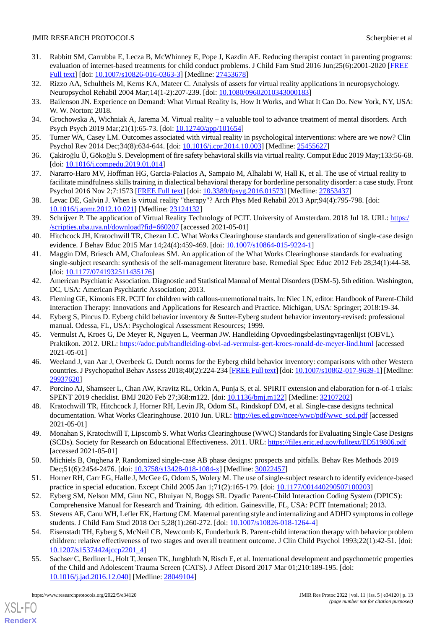- <span id="page-12-0"></span>31. Rabbitt SM, Carrubba E, Lecza B, McWhinney E, Pope J, Kazdin AE. Reducing therapist contact in parenting programs: evaluation of internet-based treatments for child conduct problems. J Child Fam Stud 2016 Jun;25(6):2001-2020 [\[FREE](http://europepmc.org/abstract/MED/27453678) [Full text\]](http://europepmc.org/abstract/MED/27453678) [doi: [10.1007/s10826-016-0363-3](http://dx.doi.org/10.1007/s10826-016-0363-3)] [Medline: [27453678](http://www.ncbi.nlm.nih.gov/entrez/query.fcgi?cmd=Retrieve&db=PubMed&list_uids=27453678&dopt=Abstract)]
- <span id="page-12-2"></span><span id="page-12-1"></span>32. Rizzo AA, Schultheis M, Kerns KA, Mateer C. Analysis of assets for virtual reality applications in neuropsychology. Neuropsychol Rehabil 2004 Mar;14(1-2):207-239. [doi: [10.1080/09602010343000183](http://dx.doi.org/10.1080/09602010343000183)]
- <span id="page-12-3"></span>33. Bailenson JN. Experience on Demand: What Virtual Reality Is, How It Works, and What It Can Do. New York, NY, USA: W. W. Norton; 2018.
- <span id="page-12-4"></span>34. Grochowska A, Wichniak A, Jarema M. Virtual reality – a valuable tool to advance treatment of mental disorders. Arch Psych Psych 2019 Mar;21(1):65-73. [doi: [10.12740/app/101654\]](http://dx.doi.org/10.12740/app/101654)
- <span id="page-12-5"></span>35. Turner WA, Casey LM. Outcomes associated with virtual reality in psychological interventions: where are we now? Clin Psychol Rev 2014 Dec;34(8):634-644. [doi: [10.1016/j.cpr.2014.10.003\]](http://dx.doi.org/10.1016/j.cpr.2014.10.003) [Medline: [25455627\]](http://www.ncbi.nlm.nih.gov/entrez/query.fcgi?cmd=Retrieve&db=PubMed&list_uids=25455627&dopt=Abstract)
- <span id="page-12-6"></span>36. Çakiroğlu Ü, Gökoğlu S. Development of fire safety behavioral skills via virtual reality. Comput Educ 2019 May;133:56-68. [doi: [10.1016/j.compedu.2019.01.014\]](http://dx.doi.org/10.1016/j.compedu.2019.01.014)
- <span id="page-12-7"></span>37. Nararro-Haro MV, Hoffman HG, Garcia-Palacios A, Sampaio M, Alhalabi W, Hall K, et al. The use of virtual reality to facilitate mindfulness skills training in dialectical behavioral therapy for borderline personality disorder: a case study. Front Psychol 2016 Nov 2;7:1573 [\[FREE Full text\]](https://doi.org/10.3389/fpsyg.2016.01573) [doi: [10.3389/fpsyg.2016.01573](http://dx.doi.org/10.3389/fpsyg.2016.01573)] [Medline: [27853437](http://www.ncbi.nlm.nih.gov/entrez/query.fcgi?cmd=Retrieve&db=PubMed&list_uids=27853437&dopt=Abstract)]
- <span id="page-12-8"></span>38. Levac DE, Galvin J. When is virtual reality "therapy"? Arch Phys Med Rehabil 2013 Apr;94(4):795-798. [doi: [10.1016/j.apmr.2012.10.021\]](http://dx.doi.org/10.1016/j.apmr.2012.10.021) [Medline: [23124132](http://www.ncbi.nlm.nih.gov/entrez/query.fcgi?cmd=Retrieve&db=PubMed&list_uids=23124132&dopt=Abstract)]
- <span id="page-12-9"></span>39. Schrijver P. The application of Virtual Reality Technology of PCIT. University of Amsterdam. 2018 Jul 18. URL: [https:/](https://scripties.uba.uva.nl/download?fid=660207) [/scripties.uba.uva.nl/download?fid=660207](https://scripties.uba.uva.nl/download?fid=660207) [accessed 2021-05-01]
- <span id="page-12-10"></span>40. Hitchcock JH, Kratochwill TR, Chezan LC. What Works Clearinghouse standards and generalization of single-case design evidence. J Behav Educ 2015 Mar 14;24(4):459-469. [doi: [10.1007/s10864-015-9224-1\]](http://dx.doi.org/10.1007/s10864-015-9224-1)
- <span id="page-12-11"></span>41. Maggin DM, Briesch AM, Chafouleas SM. An application of the What Works Clearinghouse standards for evaluating single-subject research: synthesis of the self-management literature base. Remedial Spec Educ 2012 Feb 28;34(1):44-58. [doi: [10.1177/0741932511435176](http://dx.doi.org/10.1177/0741932511435176)]
- <span id="page-12-13"></span><span id="page-12-12"></span>42. American Psychiatric Association. Diagnostic and Statistical Manual of Mental Disorders (DSM-5). 5th edition. Washington, DC, USA: American Psychiatric Association; 2013.
- <span id="page-12-14"></span>43. Fleming GE, Kimonis ER. PCIT for children with callous-unemotional traits. In: Niec LN, editor. Handbook of Parent-Child Interaction Therapy: Innovations and Applications for Research and Practice. Michigan, USA: Springer; 2018:19-34.
- <span id="page-12-15"></span>44. Eyberg S, Pincus D. Eyberg child behavior inventory & Sutter-Eyberg student behavior inventory-revised: professional manual. Odessa, FL, USA: Psychological Assessment Resources; 1999.
- 45. Vermulst A, Kroes G, De Meyer R, Nguyen L, Veerman JW. Handleiding Opvoedingsbelastingvragenlijst (OBVL). Praktikon. 2012. URL: <https://adoc.pub/handleiding-obvl-ad-vermulst-gert-kroes-ronald-de-meyer-lind.html> [accessed 2021-05-01]
- <span id="page-12-17"></span><span id="page-12-16"></span>46. Weeland J, van Aar J, Overbeek G. Dutch norms for the Eyberg child behavior inventory: comparisons with other Western countries. J Psychopathol Behav Assess 2018;40(2):224-234 [\[FREE Full text](http://europepmc.org/abstract/MED/29937620)] [doi: [10.1007/s10862-017-9639-1](http://dx.doi.org/10.1007/s10862-017-9639-1)] [Medline: [29937620](http://www.ncbi.nlm.nih.gov/entrez/query.fcgi?cmd=Retrieve&db=PubMed&list_uids=29937620&dopt=Abstract)]
- <span id="page-12-18"></span>47. Porcino AJ, Shamseer L, Chan AW, Kravitz RL, Orkin A, Punja S, et al. SPIRIT extension and elaboration for n-of-1 trials: SPENT 2019 checklist. BMJ 2020 Feb 27;368:m122. [doi: [10.1136/bmj.m122](http://dx.doi.org/10.1136/bmj.m122)] [Medline: [32107202](http://www.ncbi.nlm.nih.gov/entrez/query.fcgi?cmd=Retrieve&db=PubMed&list_uids=32107202&dopt=Abstract)]
- <span id="page-12-19"></span>48. Kratochwill TR, Hitchcock J, Horner RH, Levin JR, Odom SL, Rindskopf DM, et al. Single-case designs technical documentation. What Works Clearinghouse. 2010 Jun. URL: [http://ies.ed.gov/ncee/wwc/pdf/wwc\\_scd.pdf](http://ies.ed.gov/ncee/wwc/pdf/wwc_scd.pdf) [accessed 2021-05-01]
- <span id="page-12-20"></span>49. Monahan S, Kratochwill T, Lipscomb S. What Works Clearinghouse (WWC) Standards for Evaluating Single Case Designs (SCDs). Society for Research on Educational Effectiveness. 2011. URL: <https://files.eric.ed.gov/fulltext/ED519806.pdf> [accessed 2021-05-01]
- <span id="page-12-22"></span><span id="page-12-21"></span>50. Michiels B, Onghena P. Randomized single-case AB phase designs: prospects and pitfalls. Behav Res Methods 2019 Dec;51(6):2454-2476. [doi: [10.3758/s13428-018-1084-x\]](http://dx.doi.org/10.3758/s13428-018-1084-x) [Medline: [30022457\]](http://www.ncbi.nlm.nih.gov/entrez/query.fcgi?cmd=Retrieve&db=PubMed&list_uids=30022457&dopt=Abstract)
- <span id="page-12-23"></span>51. Horner RH, Carr EG, Halle J, McGee G, Odom S, Wolery M. The use of single-subject research to identify evidence-based practice in special education. Except Child 2005 Jan 1;71(2):165-179. [doi: [10.1177/001440290507100203\]](http://dx.doi.org/10.1177/001440290507100203)
- <span id="page-12-24"></span>52. Eyberg SM, Nelson MM, Ginn NC, Bhuiyan N, Boggs SR. Dyadic Parent-Child Interaction Coding System (DPICS): Comprehensive Manual for Research and Training. 4th edition. Gainesville, FL, USA: PCIT International; 2013.
- 53. Stevens AE, Canu WH, Lefler EK, Hartung CM. Maternal parenting style and internalizing and ADHD symptoms in college students. J Child Fam Stud 2018 Oct 5;28(1):260-272. [doi: [10.1007/s10826-018-1264-4\]](http://dx.doi.org/10.1007/s10826-018-1264-4)
- 54. Eisenstadt TH, Eyberg S, McNeil CB, Newcomb K, Funderburk B. Parent-child interaction therapy with behavior problem children: relative effectiveness of two stages and overall treatment outcome. J Clin Child Psychol 1993;22(1):42-51. [doi: [10.1207/s15374424jccp2201\\_4](http://dx.doi.org/10.1207/s15374424jccp2201_4)]
- 55. Sachser C, Berliner L, Holt T, Jensen TK, Jungbluth N, Risch E, et al. International development and psychometric properties of the Child and Adolescent Trauma Screen (CATS). J Affect Disord 2017 Mar 01;210:189-195. [doi: [10.1016/j.jad.2016.12.040\]](http://dx.doi.org/10.1016/j.jad.2016.12.040) [Medline: [28049104\]](http://www.ncbi.nlm.nih.gov/entrez/query.fcgi?cmd=Retrieve&db=PubMed&list_uids=28049104&dopt=Abstract)